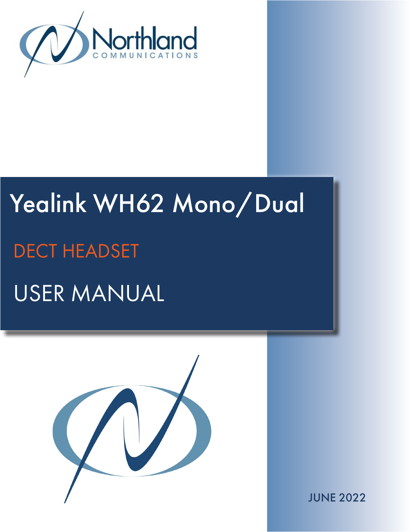

# Yealink WH62 Mono/Dual USER MANUAL DECT HEADSET



JUNE 2022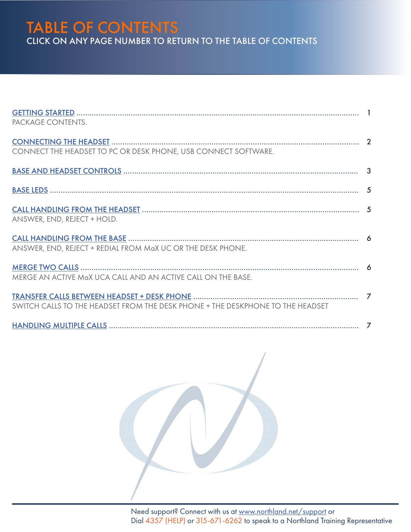## TABLE OF CONTENTS CLICK ON ANY PAGE NUMBER TO RETURN TO THE TABLE OF CONTENTS

| PACKAGE CONTENTS.                                                              |  |
|--------------------------------------------------------------------------------|--|
|                                                                                |  |
| CONNECT THE HEADSET TO PC OR DESK PHONE, USB CONNECT SOFTWARE.                 |  |
|                                                                                |  |
|                                                                                |  |
|                                                                                |  |
| ANSWER, END, REJECT + HOLD.                                                    |  |
|                                                                                |  |
| ANSWER, END, REJECT + REDIAL FROM MaX UC OR THE DESK PHONE.                    |  |
|                                                                                |  |
| MERGE AN ACTIVE MaX UCA CALL AND AN ACTIVE CALL ON THE BASE.                   |  |
|                                                                                |  |
| SWITCH CALLS TO THE HEADSET FROM THE DESK PHONE + THE DESKPHONE TO THE HEADSET |  |
|                                                                                |  |

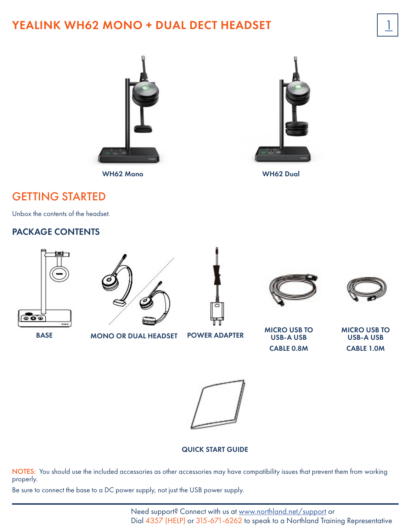## YEALINK WH62 MONO + DUAL DECT HEADSET



WH62 Mono WH62 Dual



#### <span id="page-2-0"></span>GETTING STARTED

Unbox the contents of the headset.

#### PACKAGE CONTENTS



BASE MONO OR DUAL HEADSET POWER ADAPTER

USB-A USB CABLE 0.8M MICRO USB TO USB-A USB

 $\overline{1}$ 

CABLE 1.0M



#### QUICK START GUIDE

NOTES: You should use the included accessories as other accessories may have compatibility issues that prevent them from working properly.

Be sure to connect the base to a DC power supply, not just the USB power supply.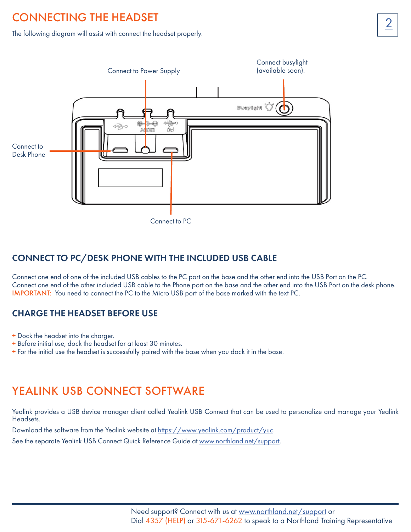## <span id="page-3-0"></span>**CONNECTING THE HEADSET**

The following diagram will assist with connect the headset properly.



CONNECT TO PC/DESK PHONE WITH THE INCLUDED USB CABLE

Connect one end of one of the included USB cables to the PC port on the base and the other end into the USB Port on the PC. Connect one end of the other included USB cable to the Phone port on the base and the other end into the USB Port on the desk phone. IMPORTANT: You need to connect the PC to the Micro USB port of the base marked with the text PC.

#### CHARGE THE HEADSET BEFORE USE

- + Dock the headset into the charger.
- + Before initial use, dock the headset for at least 30 minutes.
- + For the initial use the headset is successfully paired with the base when you dock it in the base.

## YEALINK USB CONNECT SOFTWARE

Yealink provides a USB device manager client called Yealink USB Connect that can be used to personalize and manage your Yealink Headsets.

Download the software from the Yealink website at [https://www.yealink.com/product/yuc.](https://www.yealink.com/product/yuc)

See the separate Yealink USB Connect Quick Reference Guide at [www.northland.net/support](http://www.northland.net/support).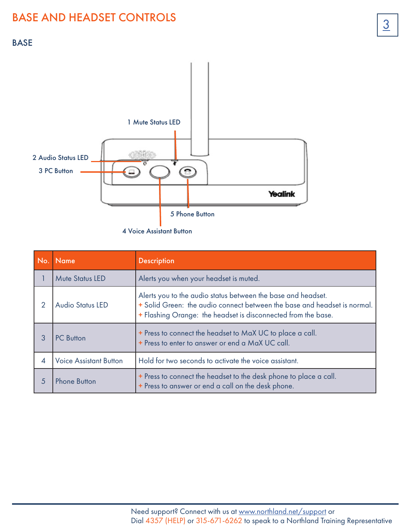#### <span id="page-4-0"></span>BASE



4 Voice Assistant Button

|               | No. Name                      | <b>Description</b>                                                                                                                                                                                        |  |
|---------------|-------------------------------|-----------------------------------------------------------------------------------------------------------------------------------------------------------------------------------------------------------|--|
|               | <b>Mute Status LED</b>        | Alerts you when your headset is muted.                                                                                                                                                                    |  |
| $\mathcal{D}$ | <b>Audio Status LED</b>       | Alerts you to the audio status between the base and headset.<br>+ Solid Green: the audio connect between the base and headset is normal.<br>+ Flashing Orange: the headset is disconnected from the base. |  |
|               | <b>PC</b> Button              | + Press to connect the headset to MaX UC to place a call.<br>+ Press to enter to answer or end a MaX UC call.                                                                                             |  |
| 4             | <b>Voice Assistant Button</b> | Hold for two seconds to activate the voice assistant.                                                                                                                                                     |  |
| 5             | <b>Phone Button</b>           | + Press to connect the headset to the desk phone to place a call.<br>+ Press to answer or end a call on the desk phone.                                                                                   |  |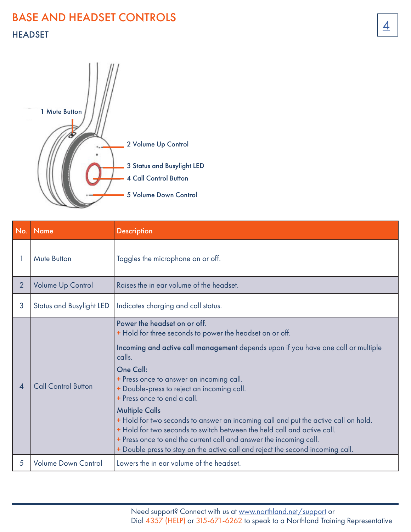# **BASE AND HEADSET CONTROLS** HEADSET



| No.            | <b>Name</b>                     | <b>Description</b>                                                                                                                                                                                                                                                                                                                                                                                                                                                                                                                                                                                                                                                              |
|----------------|---------------------------------|---------------------------------------------------------------------------------------------------------------------------------------------------------------------------------------------------------------------------------------------------------------------------------------------------------------------------------------------------------------------------------------------------------------------------------------------------------------------------------------------------------------------------------------------------------------------------------------------------------------------------------------------------------------------------------|
|                | Mute Button                     | Toggles the microphone on or off.                                                                                                                                                                                                                                                                                                                                                                                                                                                                                                                                                                                                                                               |
| $\overline{2}$ | <b>Volume Up Control</b>        | Raises the in ear volume of the headset.                                                                                                                                                                                                                                                                                                                                                                                                                                                                                                                                                                                                                                        |
| 3              | <b>Status and Busylight LED</b> | Indicates charging and call status.                                                                                                                                                                                                                                                                                                                                                                                                                                                                                                                                                                                                                                             |
| Δ              | <b>Call Control Button</b>      | Power the headset on or off.<br>+ Hold for three seconds to power the headset on or off.<br>Incoming and active call management depends upon if you have one call or multiple<br>calls.<br>One Call:<br>+ Press once to answer an incoming call.<br>+ Double-press to reject an incoming call.<br>+ Press once to end a call.<br><b>Multiple Calls</b><br>+ Hold for two seconds to answer an incoming call and put the active call on hold.<br>+ Hold for two seconds to switch between the held call and active call.<br>+ Press once to end the current call and answer the incoming call.<br>+ Double press to stay on the active call and reject the second incoming call. |
| 5              | <b>Volume Down Control</b>      | Lowers the in ear volume of the headset.                                                                                                                                                                                                                                                                                                                                                                                                                                                                                                                                                                                                                                        |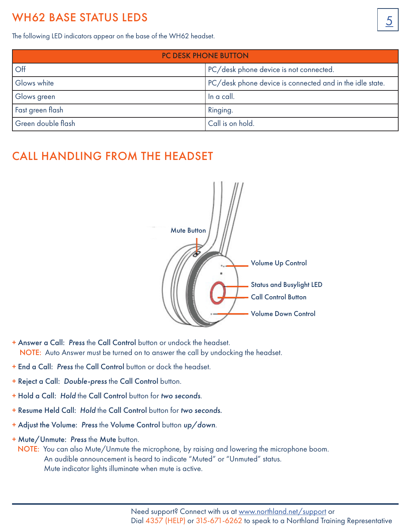## <span id="page-6-0"></span>WH62 BASE STATUS LEDS

The following LED indicators appear on the base of the WH62 headset.

| <b>PC DESK PHONE BUTTON</b> |                                                          |  |  |
|-----------------------------|----------------------------------------------------------|--|--|
| <b>Off</b>                  | PC/desk phone device is not connected.                   |  |  |
| Glows white                 | PC/desk phone device is connected and in the idle state. |  |  |
| Glows green                 | In a call.                                               |  |  |
| Fast green flash            | Ringing.                                                 |  |  |
| Green double flash          | Call is on hold.                                         |  |  |

## <span id="page-6-1"></span>CALL HANDLING FROM THE HEADSET



- + Answer a Call: *Press* the Call Control button or undock the headset. NOTE: Auto Answer must be turned on to answer the call by undocking the headset.
- + End a Call: *Press* the Call Control button or dock the headset.
- + Reject a Call: *Double-press* the Call Control button.
- + Hold a Call: *Hold* the Call Control button for *two seconds*.
- + Resume Held Call: *Hold* the Call Control button for *two seconds.*
- + Adjust the Volume: *Press* the Volume Control button *up/down*.
- + Mute/Unmute: *Press* the Mute button.
- NOTE: You can also Mute/Unmute the microphone, by raising and lowering the microphone boom. An audible announcement is heard to indicate "Muted" or "Unmuted" status. Mute indicator lights illuminate when mute is active.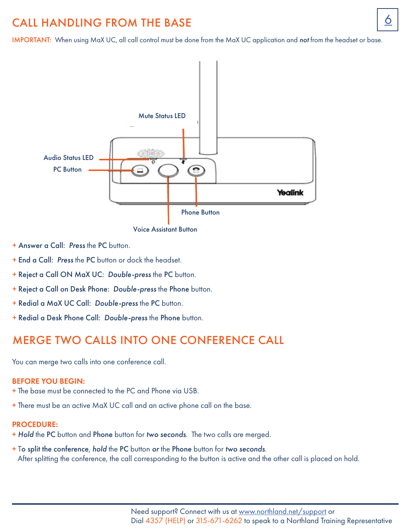## <span id="page-7-0"></span>CALL HANDLING FROM THE BASE **6 6**

IMPORTANT: When using MaX UC, all call control must be done from the MaX UC application and *not* from the headset or base.



Voice Assistant Button

- + Answer a Call: *Press* the PC button.
- + End a Call: *Press* the PC button or dock the headset.
- + Reject a Call ON MaX UC: *Double-press* the PC button.
- + Reject a Call on Desk Phone: *Double-press* the Phone button.
- + Redial a MaX UC Call: *Double-press* the PC button.
- + Redial a Desk Phone Call: *Double-press* the Phone button.

## <span id="page-7-1"></span>MERGE TWO CALLS INTO ONE CONFERENCE CALL

You can merge two calls into one conference call.

#### BEFORE YOU BEGIN:

- + The base must be connected to the PC and Phone via USB.
- + There must be an active MaX UC call and an active phone call on the base.

#### PROCEDURE:

- + *Hold* the PC button and Phone button for *two seconds*. The two calls are merged.
- + To split the conference, *hold* the PC button *or* the Phone button for *two seconds*. After splitting the conference, the call corresponding to the button is active and the other call is placed on hold.